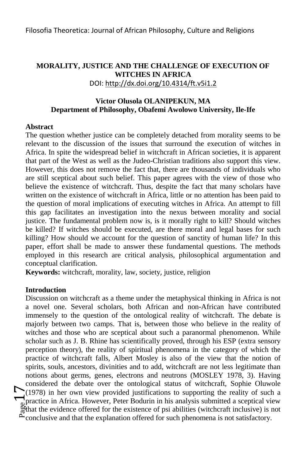# **MORALITY, JUSTICE AND THE CHALLENGE OF EXECUTION OF WITCHES IN AFRICA**  DOI: http://dx.doi.org/10.4314/ft.v5i1.2

# **Victor Olusola OLANIPEKUN, MA Department of Philosophy, Obafemi Awolowo University, Ile-Ife**

## **Abstract**

The question whether justice can be completely detached from morality seems to be relevant to the discussion of the issues that surround the execution of witches in Africa. In spite the widespread belief in witchcraft in African societies, it is apparent that part of the West as well as the Judeo-Christian traditions also support this view. However, this does not remove the fact that, there are thousands of individuals who are still sceptical about such belief. This paper agrees with the view of those who believe the existence of witchcraft. Thus, despite the fact that many scholars have written on the existence of witchcraft in Africa, little or no attention has been paid to the question of moral implications of executing witches in Africa. An attempt to fill this gap facilitates an investigation into the nexus between morality and social justice. The fundamental problem now is, is it morally right to kill? Should witches be killed? If witches should be executed, are there moral and legal bases for such killing? How should we account for the question of sanctity of human life? In this paper, effort shall be made to answer these fundamental questions. The methods employed in this research are critical analysis, philosophical argumentation and conceptual clarification.

**Keywords:** witchcraft, morality, law, society, justice, religion

## **Introduction**

(1978) in her own view provided justifications to supporting the reality of such a<br>practice in Africa. However, Peter Bodurin in his analysis submitted a sceptical view<br>we that the evidence offered for the existence of psi Discussion on witchcraft as a theme under the metaphysical thinking in Africa is not a novel one. Several scholars, both African and non-African have contributed immensely to the question of the ontological reality of witchcraft. The debate is majorly between two camps. That is, between those who believe in the reality of witches and those who are sceptical about such a paranormal phenomenon. While scholar such as J. B. Rhine has scientifically proved, through his ESP (extra sensory perception theory), the reality of spiritual phenomena in the category of which the practice of witchcraft falls, Albert Mosley is also of the view that the notion of spirits, souls, ancestors, divinities and to add, witchcraft are not less legitimate than notions about germs, genes, electrons and neutrons (MOSLEY 1978, 3). Having considered the debate over the ontological status of witchcraft, Sophie Oluwole practice in Africa. However, Peter Bodurin in his analysis submitted a sceptical view  $\frac{50}{60}$  that the evidence offered for the existence of psi abilities (witchcraft inclusive) is not  $\tilde{\mathcal{L}}$  conclusive and that the explanation offered for such phenomena is not satisfactory.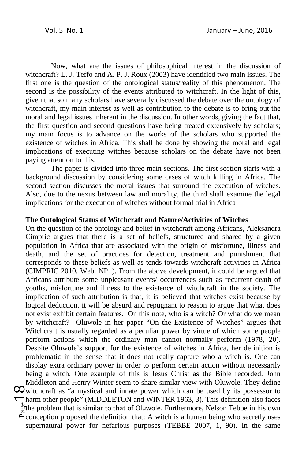Now, what are the issues of philosophical interest in the discussion of witchcraft? L. J. Teffo and A. P. J. Roux (2003) have identified two main issues. The first one is the question of the ontological status/reality of this phenomenon. The second is the possibility of the events attributed to witchcraft. In the light of this, given that so many scholars have severally discussed the debate over the ontology of witchcraft, my main interest as well as contribution to the debate is to bring out the moral and legal issues inherent in the discussion. In other words, giving the fact that, the first question and second questions have being treated extensively by scholars; my main focus is to advance on the works of the scholars who supported the existence of witches in Africa. This shall be done by showing the moral and legal implications of executing witches because scholars on the debate have not been paying attention to this.

The paper is divided into three main sections. The first section starts with a background discussion by considering some cases of witch killing in Africa. The second section discusses the moral issues that surround the execution of witches. Also, due to the nexus between law and morality, the third shall examine the legal implications for the execution of witches without formal trial in Africa

#### **The Ontological Status of Witchcraft and Nature/Activities of Witches**

Witchcraft as "a mystical and innate power which can be used by its possessor to<br>
tharm other people" (MIDDLETON and WINTER 1963, 3). This definition also faces<br>
gathe problem that is similar to that of Oluwole. Furthermor On the question of the ontology and belief in witchcraft among Africans, Aleksandra Cimpric argues that there is a set of beliefs, structured and shared by a given population in Africa that are associated with the origin of misfortune, illness and death, and the set of practices for detection, treatment and punishment that corresponds to these beliefs as well as tends towards witchcraft activities in Africa (CIMPRIC 2010, Web. NP. ). From the above development, it could be argued that Africans attribute some unpleasant events/ occurrences such as recurrent death of youths, misfortune and illness to the existence of witchcraft in the society. The implication of such attribution is that, it is believed that witches exist because by logical deduction, it will be absurd and repugnant to reason to argue that what does not exist exhibit certain features. On this note, who is a witch? Or what do we mean by witchcraft? Oluwole in her paper "On the Existence of Witches" argues that Witchcraft is usually regarded as a peculiar power by virtue of which some people perform actions which the ordinary man cannot normally perform (1978, 20). Despite Oluwole's support for the existence of witches in Africa, her definition is problematic in the sense that it does not really capture who a witch is. One can display extra ordinary power in order to perform certain action without necessarily being a witch. One example of this is Jesus Christ as the Bible recorded. John Middleton and Henry Winter seem to share similar view with Oluwole. They define  $\infty$  witchcraft as "a mystical and innate power which can be used by its possessor to harm other people" (MIDDLETON and WINTER 1963, 3). This definition also faces conception proposed the definition that: A witch is a human being who secretly uses supernatural power for nefarious purposes (TEBBE 2007, 1, 90). In the same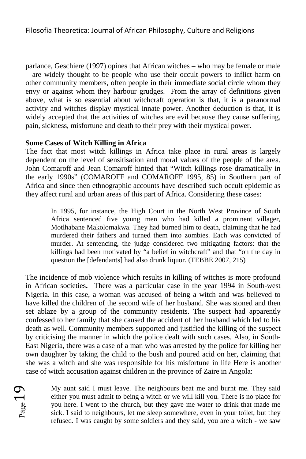parlance, Geschiere (1997) opines that African witches – who may be female or male – are widely thought to be people who use their occult powers to inflict harm on other community members, often people in their immediate social circle whom they envy or against whom they harbour grudges. From the array of definitions given above, what is so essential about witchcraft operation is that, it is a paranormal activity and witches display mystical innate power. Another deduction is that, it is widely accepted that the activities of witches are evil because they cause suffering, pain, sickness, misfortune and death to their prey with their mystical power.

# **Some Cases of Witch Killing in Africa**

The fact that most witch killings in Africa take place in rural areas is largely dependent on the level of sensitisation and moral values of the people of the area. John Comaroff and Jean Comaroff hinted that "Witch killings rose dramatically in the early 1990s" (COMAROFF and COMAROFF 1995, 85) in Southern part of Africa and since then ethnographic accounts have described such occult epidemic as they affect rural and urban areas of this part of Africa. Considering these cases:

> In 1995, for instance, the High Court in the North West Province of South Africa sentenced five young men who had killed a prominent villager, Motlhabane Makolomakwa. They had burned him to death, claiming that he had murdered their fathers and turned them into zombies. Each was convicted of murder. At sentencing, the judge considered two mitigating factors: that the killings had been motivated by "a belief in witchcraft" and that "on the day in question the [defendants] had also drunk liquor. (TEBBE 2007, 215)

The incidence of mob violence which results in killing of witches is more profound in African societies**.** There was a particular case in the year 1994 in South-west Nigeria. In this case, a woman was accused of being a witch and was believed to have killed the children of the second wife of her husband. She was stoned and then set ablaze by a group of the community residents. The suspect had apparently confessed to her family that she caused the accident of her husband which led to his death as well. Community members supported and justified the killing of the suspect by criticising the manner in which the police dealt with such cases. Also, in South-East Nigeria, there was a case of a man who was arrested by the police for killing her own daughter by taking the child to the bush and poured acid on her, claiming that she was a witch and she was responsible for his misfortune in life Here is another case of witch accusation against children in the province of Zaire in Angola:



My aunt said I must leave. The neighbours beat me and burnt me. They said either you must admit to being a witch or we will kill you. There is no place for you here. I went to the church, but they gave me water to drink that made me sick. I said to neighbours, let me sleep somewhere, even in your toilet, but they refused. I was caught by some soldiers and they said, you are a witch - we saw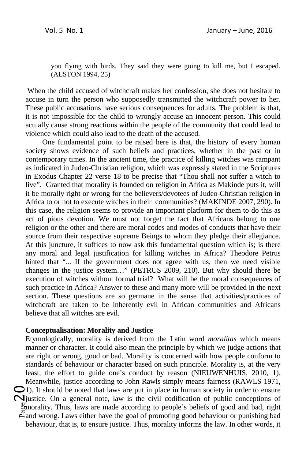you flying with birds. They said they were going to kill me, but I escaped. (ALSTON 1994, 25)

When the child accused of witchcraft makes her confession, she does not hesitate to accuse in turn the person who supposedly transmitted the witchcraft power to her. These public accusations have serious consequences for adults. The problem is that, it is not impossible for the child to wrongly accuse an innocent person. This could actually cause strong reactions within the people of the community that could lead to violence which could also lead to the death of the accused.

 One fundamental point to be raised here is that, the history of every human society shows evidence of such beliefs and practices, whether in the past or in contemporary times. In the ancient time, the practice of killing witches was rampant as indicated in Judeo-Christian religion, which was expressly stated in the Scriptures in Exodus Chapter 22 verse 18 to be precise that "Thou shall not suffer a witch to live". Granted that morality is founded on religion in Africa as Makinde puts it, will it be morally right or wrong for the believers/devotees of Judeo-Christian religion in Africa to or not to execute witches in their communities? (MAKINDE 2007, 290). In this case, the religion seems to provide an important platform for them to do this as act of pious devotion. We must not forget the fact that Africans belong to one religion or the other and there are moral codes and modes of conducts that have their source from their respective supreme Beings to whom they pledge their allegiance. At this juncture, it suffices to now ask this fundamental question which is; is there any moral and legal justification for killing witches in Africa? Theodore Petrus hinted that "... If the government does not agree with us, then we need visible changes in the justice system…" (PETRUS 2009, 210). But why should there be execution of witches without formal trial? What will be the moral consequences of such practice in Africa? Answer to these and many more will be provided in the next section. These questions are so germane in the sense that activities/practices of witchcraft are taken to be inherently evil in African communities and Africans believe that all witches are evil.

#### **Conceptualisation: Morality and Justice**

 $\sum_{\substack{\text{sum}\ \text{cam}\ \text{A}}^{(1)}}$ Etymologically, morality is derived from the Latin word *moralitas* which means manner or character. It could also mean the principle by which we judge actions that are right or wrong, good or bad. Morality is concerned with how people conform to standards of behaviour or character based on such principle. Morality is, at the very least, the effort to guide one's conduct by reason (NIEUWENHUIS, 2010, 1). Meanwhile, justice according to John Rawls simply means fairness (RAWLS 1971,  $\bigcirc$ 1). It should be noted that laws are put in place in human society in order to ensure justice. On a general note, law is the civil codification of public conceptions of morality. Thus, laws are made according to people's beliefs of good and bad, right and wrong. Laws either have the goal of promoting good behaviour or punishing bad behaviour, that is, to ensure justice. Thus, morality informs the law. In other words, it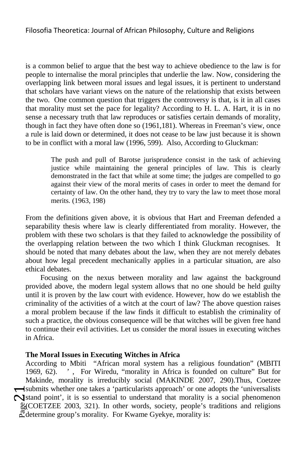is a common belief to argue that the best way to achieve obedience to the law is for people to internalise the moral principles that underlie the law. Now, considering the overlapping link between moral issues and legal issues, it is pertinent to understand that scholars have variant views on the nature of the relationship that exists between the two. One common question that triggers the controversy is that, is it in all cases that morality must set the pace for legality? According to H. L. A. Hart, it is in no sense a necessary truth that law reproduces or satisfies certain demands of morality, though in fact they have often done so (1961,181). Whereas in Freeman's view, once a rule is laid down or determined, it does not cease to be law just because it is shown to be in conflict with a moral law (1996, 599). Also, According to Gluckman:

The push and pull of Barotse jurisprudence consist in the task of achieving justice while maintaining the general principles of law. This is clearly demonstrated in the fact that while at some time; the judges are compelled to go against their view of the moral merits of cases in order to meet the demand for certainty of law. On the other hand, they try to vary the law to meet those moral merits. (1963, 198)

From the definitions given above, it is obvious that Hart and Freeman defended a separability thesis where law is clearly differentiated from morality. However, the problem with these two scholars is that they failed to acknowledge the possibility of the overlapping relation between the two which I think Gluckman recognises. It should be noted that many debates about the law, when they are not merely debates about how legal precedent mechanically applies in a particular situation, are also ethical debates.

 Focusing on the nexus between morality and law against the background provided above, the modern legal system allows that no one should be held guilty until it is proven by the law court with evidence. However, how do we establish the criminality of the activities of a witch at the court of law? The above question raises a moral problem because if the law finds it difficult to establish the criminality of such a practice, the obvious consequence will be that witches will be given free hand to continue their evil activities. Let us consider the moral issues in executing witches in Africa.

## **The Moral Issues in Executing Witches in Africa**

 $\sum_{\substack{\text{Suc}\\\text{Euc}}}$ According to Mbiti "African moral system has a religious foundation" (MBITI 1969, 62). ' , For Wiredu, "morality in Africa is founded on culture" But for Makinde, morality is irreducibly social (MAKINDE 2007, 290).Thus, Coetzee submits whether one takes a 'particularists approach' or one adopts the 'universalists Stand point', it is so essential to understand that morality is a social phenomenon (COETZEE 2003, 321). In other words, society, people's traditions and religions determine group's morality. For Kwame Gyekye, morality is: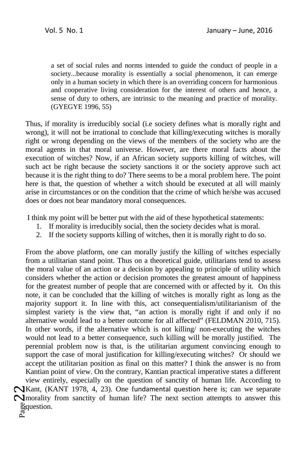a set of social rules and norms intended to guide the conduct of people in a society...because morality is essentially a social phenomenon, it can emerge only in a human society in which there is an overriding concern for harmonious and cooperative living consideration for the interest of others and hence, a sense of duty to others, are intrinsic to the meaning and practice of morality. (GYEGYE 1996, 55)

Thus, if morality is irreducibly social (i.e society defines what is morally right and wrong), it will not be irrational to conclude that killing/executing witches is morally right or wrong depending on the views of the members of the society who are the moral agents in that moral universe. However, are there moral facts about the execution of witches? Now, if an African society supports killing of witches, will such act be right because the society sanctions it or the society approve such act because it is the right thing to do? There seems to be a moral problem here. The point here is that, the question of whether a witch should be executed at all will mainly arise in circumstances or on the condition that the crime of which he/she was accused does or does not bear mandatory moral consequences.

I think my point will be better put with the aid of these hypothetical statements:

- 1. If morality is irreducibly social, then the society decides what is moral.
- 2. If the society supports killing of witches, then it is morally right to do so.

 $\sum\limits_{\substack{\text{degu}\ \text{Eq}\,\text{u}}}$ From the above platform, one can morally justify the killing of witches especially from a utilitarian stand point. Thus on a theoretical guide, utilitarians tend to assess the moral value of an action or a decision by appealing to principle of utility which considers whether the action or decision promotes the greatest amount of happiness for the greatest number of people that are concerned with or affected by it. On this note, it can be concluded that the killing of witches is morally right as long as the majority support it. In line with this, act consequentialism/utilitarianism of the simplest variety is the view that, "an action is morally right if and only if no alternative would lead to a better outcome for all affected" (FELDMAN 2010, 715). In other words, if the alternative which is not killing/ non-executing the witches would not lead to a better consequence, such killing will be morally justified. The perennial problem now is that, is the utilitarian argument convincing enough to support the case of moral justification for killing/executing witches? Or should we accept the utilitarian position as final on this matter? I think the answer is no from Kantian point of view. On the contrary, Kantian practical imperative states a different view entirely, especially on the question of sanctity of human life. According to Kant, (KANT 1978, 4, 23). One fundamental question here is; can we separate morality from sanctity of human life? The next section attempts to answer this question.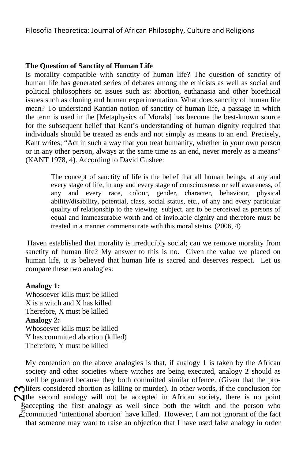#### **The Question of Sanctity of Human Life**

Is morality compatible with sanctity of human life? The question of sanctity of human life has generated series of debates among the ethicists as well as social and political philosophers on issues such as: abortion, euthanasia and other bioethical issues such as cloning and human experimentation. What does sanctity of human life mean? To understand Kantian notion of sanctity of human life, a passage in which the term is used in the [Metaphysics of Morals] has become the best-known source for the subsequent belief that Kant's understanding of human dignity required that individuals should be treated as ends and not simply as means to an end. Precisely, Kant writes; "Act in such a way that you treat humanity, whether in your own person or in any other person, always at the same time as an end, never merely as a means" (KANT 1978, 4). According to David Gushee:

The concept of sanctity of life is the belief that all human beings, at any and every stage of life, in any and every stage of consciousness or self awareness, of any and every race, colour, gender, character, behaviour, physical ability/disability, potential, class, social status, etc., of any and every particular quality of relationship to the viewing subject, are to be perceived as persons of equal and immeasurable worth and of inviolable dignity and therefore must be treated in a manner commensurate with this moral status. (2006, 4)

 Haven established that morality is irreducibly social; can we remove morality from sanctity of human life? My answer to this is no. Given the value we placed on human life, it is believed that human life is sacred and deserves respect. Let us compare these two analogies:

#### **Analogy 1:**

Whosoever kills must be killed X is a witch and X has killed Therefore, X must be killed **Analogy 2:**  Whosoever kills must be killed Y has committed abortion (killed) Therefore, Y must be killed

 $\sum_{\substack{\text{space}\\\text{space}}}$ My contention on the above analogies is that, if analogy **1** is taken by the African society and other societies where witches are being executed, analogy **2** should as well be granted because they both committed similar offence. (Given that the proconsidered abortion as killing or murder). In other words, if the conclusion for **N**the second analogy will not be accepted in African society, there is no point accepting the first analogy as well since both the witch and the person who committed 'intentional abortion' have killed. However, I am not ignorant of the fact that someone may want to raise an objection that I have used false analogy in order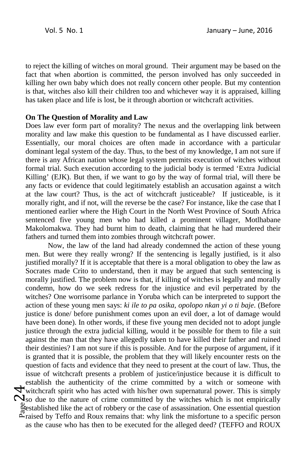to reject the killing of witches on moral ground. Their argument may be based on the fact that when abortion is committed, the person involved has only succeeded in killing her own baby which does not really concern other people. But my contention is that, witches also kill their children too and whichever way it is appraised, killing has taken place and life is lost, be it through abortion or witchcraft activities.

## **On The Question of Morality and Law**

Does law ever form part of morality? The nexus and the overlapping link between morality and law make this question to be fundamental as I have discussed earlier. Essentially, our moral choices are often made in accordance with a particular dominant legal system of the day. Thus, to the best of my knowledge, I am not sure if there is any African nation whose legal system permits execution of witches without formal trial. Such execution according to the judicial body is termed 'Extra Judicial Killing' (EJK). But then, if we want to go by the way of formal trial, will there be any facts or evidence that could legitimately establish an accusation against a witch at the law court? Thus, is the act of witchcraft justiceable? If justiceable, is it morally right, and if not, will the reverse be the case? For instance, like the case that I mentioned earlier where the High Court in the North West Province of South Africa sentenced five young men who had killed a prominent villager, Motlhabane Makolomakwa. They had burnt him to death, claiming that he had murdered their fathers and turned them into zombies through witchcraft power.

 $\displaystyle \mathop{\mathop{\bigtriangledown_{\text{seg}}}}\limits_{\substack{\text{g}}{\mathop{\text{max}}\limits_{\text{grasi}}}}$  Now, the law of the land had already condemned the action of these young men. But were they really wrong? If the sentencing is legally justified, is it also justified morally? If it is acceptable that there is a moral obligation to obey the law as Socrates made Crito to understand, then it may be argued that such sentencing is morally justified. The problem now is that, if killing of witches is legally and morally condemn, how do we seek redress for the injustice and evil perpetrated by the witches? One worrisome parlance in Yoruba which can be interpreted to support the action of these young men says: *ki ile to pa osika, opolopo nkan yi o ti baje*. (Before justice is done/ before punishment comes upon an evil doer, a lot of damage would have been done). In other words, if these five young men decided not to adopt jungle justice through the extra judicial killing, would it be possible for them to file a suit against the man that they have allegedly taken to have killed their father and ruined their destinies? I am not sure if this is possible. And for the purpose of argument, if it is granted that it is possible, the problem that they will likely encounter rests on the question of facts and evidence that they need to present at the court of law. Thus, the issue of witchcraft presents a problem of justice/injustice because it is difficult to establish the authenticity of the crime committed by a witch or someone with  $\forall$  witchcraft spirit who has acted with his/her own supernatural power. This is simply  $\mathbb{N}_{\text{so}}$  due to the nature of crime committed by the witches which is not empirically established like the act of robbery or the case of assassination. One essential question raised by Teffo and Roux remains that: why link the misfortune to a specific person as the cause who has then to be executed for the alleged deed? (TEFFO and ROUX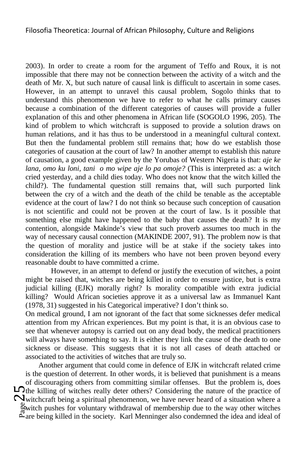2003). In order to create a room for the argument of Teffo and Roux, it is not impossible that there may not be connection between the activity of a witch and the death of Mr. X, but such nature of causal link is difficult to ascertain in some cases. However, in an attempt to unravel this causal problem, Sogolo thinks that to understand this phenomenon we have to refer to what he calls primary causes because a combination of the different categories of causes will provide a fuller explanation of this and other phenomena in African life (SOGOLO 1996, 205). The kind of problem to which witchcraft is supposed to provide a solution draws on human relations, and it has thus to be understood in a meaningful cultural context. But then the fundamental problem still remains that; how do we establish those categories of causation at the court of law? In another attempt to establish this nature of causation, a good example given by the Yorubas of Western Nigeria is that: *aje ke lana, omo ku loni, tani o mo wipe aje lo pa omoje?* (This is interpreted as: a witch cried yesterday, and a child dies today. Who does not know that the witch killed the child?). The fundamental question still remains that, will such purported link between the cry of a witch and the death of the child be tenable as the acceptable evidence at the court of law? I do not think so because such conception of causation is not scientific and could not be proven at the court of law. Is it possible that something else might have happened to the baby that causes the death? It is my contention, alongside Makinde's view that such proverb assumes too much in the way of necessary causal connection (MAKINDE 2007, 91). The problem now is that the question of morality and justice will be at stake if the society takes into consideration the killing of its members who have not been proven beyond every reasonable doubt to have committed a crime.

However, in an attempt to defend or justify the execution of witches, a point might be raised that, witches are being killed in order to ensure justice, but is extra judicial killing (EJK) morally right? Is morality compatible with extra judicial killing? Would African societies approve it as a universal law as Immanuel Kant (1978, 31) suggested in his Categorical imperative? I don't think so.

On medical ground, I am not ignorant of the fact that some sicknesses defer medical attention from my African experiences. But my point is that, it is an obvious case to see that whenever autopsy is carried out on any dead body, the medical practitioners will always have something to say. It is either they link the cause of the death to one sickness or disease. This suggests that it is not all cases of death attached or associated to the activities of witches that are truly so.

 $\sum_{\substack{\text{gwr} \ \text{gwr}}}$  Another argument that could come in defence of EJK in witchcraft related crime is the question of deterrent. In other words, it is believed that punishment is a means of discouraging others from committing similar offenses. But the problem is, does  $L$ <sub>the killing</sub> of witches really deter others? Considering the nature of the practice of witchcraft being a spiritual phenomenon, we have never heard of a situation where a witch pushes for voluntary withdrawal of membership due to the way other witches are being killed in the society. Karl Menninger also condemned the idea and ideal of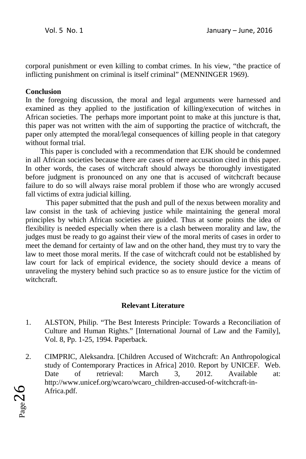corporal punishment or even killing to combat crimes. In his view, "the practice of inflicting punishment on criminal is itself criminal" (MENNINGER 1969).

# **Conclusion**

In the foregoing discussion, the moral and legal arguments were harnessed and examined as they applied to the justification of killing/execution of witches in African societies. The perhaps more important point to make at this juncture is that, this paper was not written with the aim of supporting the practice of witchcraft, the paper only attempted the moral/legal consequences of killing people in that category without formal trial.

 This paper is concluded with a recommendation that EJK should be condemned in all African societies because there are cases of mere accusation cited in this paper. In other words, the cases of witchcraft should always be thoroughly investigated before judgment is pronounced on any one that is accused of witchcraft because failure to do so will always raise moral problem if those who are wrongly accused fall victims of extra judicial killing.

 This paper submitted that the push and pull of the nexus between morality and law consist in the task of achieving justice while maintaining the general moral principles by which African societies are guided. Thus at some points the idea of flexibility is needed especially when there is a clash between morality and law, the judges must be ready to go against their view of the moral merits of cases in order to meet the demand for certainty of law and on the other hand, they must try to vary the law to meet those moral merits. If the case of witchcraft could not be established by law court for lack of empirical evidence, the society should device a means of unraveling the mystery behind such practice so as to ensure justice for the victim of witchcraft.

## **Relevant Literature**

- 1. ALSTON, Philip. "The Best Interests Principle: Towards a Reconciliation of Culture and Human Rights." [International Journal of Law and the Family], Vol. 8, Pp. 1-25, 1994. Paperback.
- 2. CIMPRIC, Aleksandra. [Children Accused of Witchcraft: An Anthropological study of Contemporary Practices in Africa] 2010. Report by UNICEF. Web.<br>Date of retrieval: March 3. 2012. Available at: Date of retrieval: March 3, 2012. Available at: http://www.unicef.org/wcaro/wcaro\_children-accused-of-witchcraft-in-Africa.pdf.

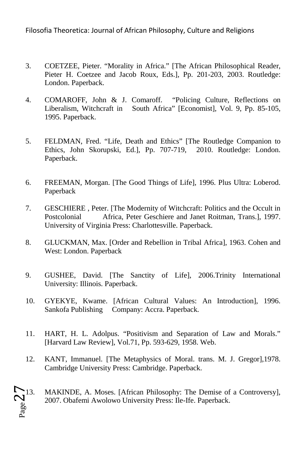- 3. COETZEE, Pieter. "Morality in Africa." [The African Philosophical Reader, Pieter H. Coetzee and Jacob Roux, Eds.], Pp. 201-203, 2003. Routledge: London. Paperback.
- 4. COMAROFF, John & J. Comaroff. "Policing Culture, Reflections on Liberalism, Witchcraft in South Africa" [Economist], Vol. 9, Pp. 85-105, 1995. Paperback.
- 5. FELDMAN, Fred. "Life, Death and Ethics" [The Routledge Companion to Ethics, John Skorupski, Ed.], Pp. 707-719, 2010. Routledge: London. Paperback.
- 6. FREEMAN, Morgan. [The Good Things of Life], 1996. Plus Ultra: Loberod. Paperback
- 7. GESCHIERE , Peter. [The Modernity of Witchcraft: Politics and the Occult in Postcolonial Africa, Peter Geschiere and Janet Roitman, Trans.], 1997. University of Virginia Press: Charlottesville. Paperback.
- 8. GLUCKMAN, Max. [Order and Rebellion in Tribal Africa], 1963. Cohen and West: London. Paperback
- 9. GUSHEE, David. [The Sanctity of Life], 2006.Trinity International University: Illinois. Paperback.
- 10. GYEKYE, Kwame. [African Cultural Values: An Introduction], 1996. Sankofa Publishing Company: Accra. Paperback.
- 11. HART, H. L. Adolpus. "Positivism and Separation of Law and Morals." [Harvard Law Review], Vol.71, Pp. 593-629, 1958. Web.
- 12. KANT, Immanuel. [The Metaphysics of Moral. trans. M. J. Gregor],1978. Cambridge University Press: Cambridge. Paperback.
- $\sum_{\text{Page}}$ MAKINDE, A. Moses. [African Philosophy: The Demise of a Controversy], 2007. Obafemi Awolowo University Press: Ile-Ife. Paperback.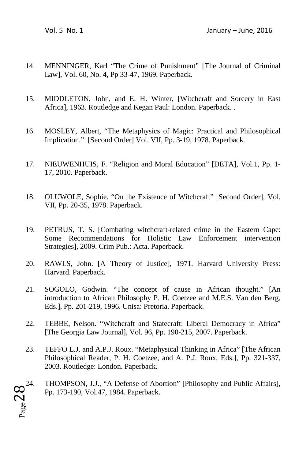- 14. MENNINGER, Karl "The Crime of Punishment" [The Journal of Criminal Law], Vol. 60, No. 4, Pp 33-47, 1969. Paperback.
- 15. MIDDLETON, John, and E. H. Winter, [Witchcraft and Sorcery in East Africa], 1963. Routledge and Kegan Paul: London. Paperback. .
- 16. MOSLEY, Albert, "The Metaphysics of Magic: Practical and Philosophical Implication." [Second Order] Vol. VII, Pp. 3-19, 1978. Paperback.
- 17. NIEUWENHUIS, F. "Religion and Moral Education" [DETA], Vol.1, Pp. 1- 17, 2010. Paperback.
- 18. OLUWOLE, Sophie. "On the Existence of Witchcraft" [Second Order], Vol. VII, Pp. 20-35, 1978. Paperback.
- 19. PETRUS, T. S. [Combating witchcraft-related crime in the Eastern Cape: Some Recommendations for Holistic Law Enforcement intervention Strategies], 2009. Crim Pub.: Acta. Paperback.
- 20. RAWLS, John. [A Theory of Justice], 1971. Harvard University Press: Harvard. Paperback.
- 21. SOGOLO, Godwin. "The concept of cause in African thought." [An introduction to African Philosophy P. H. Coetzee and M.E.S. Van den Berg, Eds.], Pp. 201-219, 1996. Unisa: Pretoria. Paperback.
- 22. TEBBE, Nelson. "Witchcraft and Statecraft: Liberal Democracy in Africa" [The Georgia Law Journal]*,* Vol. 96, Pp. 190-215, 2007. Paperback.
- 23. TEFFO L.J. and A.P.J. Roux. "Metaphysical Thinking in Africa" [The African Philosophical Reader, P. H. Coetzee, and A. P.J. Roux, Eds.], Pp. 321-337, 2003. Routledge: London. Paperback.
- $\sum_{\mathrm{p},\mathrm{ge}}^{24}$ 24. THOMPSON, J.J., "A Defense of Abortion" [Philosophy and Public Affairs], Pp. 173-190, Vol.47, 1984. Paperback.